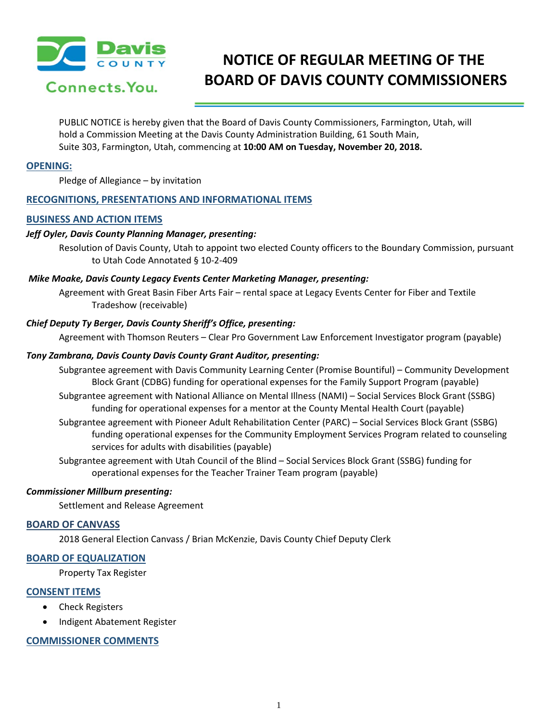

# **NOTICE OF REGULAR MEETING OF THE BOARD OF DAVIS COUNTY COMMISSIONERS**

PUBLIC NOTICE is hereby given that the Board of Davis County Commissioners, Farmington, Utah, will hold a Commission Meeting at the Davis County Administration Building, 61 South Main, Suite 303, Farmington, Utah, commencing at **10:00 AM on Tuesday, November 20, 2018.**

## **OPENING:**

Pledge of Allegiance – by invitation

# **RECOGNITIONS, PRESENTATIONS AND INFORMATIONAL ITEMS**

### **BUSINESS AND ACTION ITEMS**

### *Jeff Oyler, Davis County Planning Manager, presenting:*

Resolution of Davis County, Utah to appoint two elected County officers to the Boundary Commission, pursuant to Utah Code Annotated § 10-2-409

### *Mike Moake, Davis County Legacy Events Center Marketing Manager, presenting:*

Agreement with Great Basin Fiber Arts Fair – rental space at Legacy Events Center for Fiber and Textile Tradeshow (receivable)

### *Chief Deputy Ty Berger, Davis County Sheriff's Office, presenting:*

Agreement with Thomson Reuters – Clear Pro Government Law Enforcement Investigator program (payable)

## *Tony Zambrana, Davis County Davis County Grant Auditor, presenting:*

- Subgrantee agreement with Davis Community Learning Center (Promise Bountiful) Community Development Block Grant (CDBG) funding for operational expenses for the Family Support Program (payable)
- Subgrantee agreement with National Alliance on Mental Illness (NAMI) Social Services Block Grant (SSBG) funding for operational expenses for a mentor at the County Mental Health Court (payable)
- Subgrantee agreement with Pioneer Adult Rehabilitation Center (PARC) Social Services Block Grant (SSBG) funding operational expenses for the Community Employment Services Program related to counseling services for adults with disabilities (payable)
- Subgrantee agreement with Utah Council of the Blind Social Services Block Grant (SSBG) funding for operational expenses for the Teacher Trainer Team program (payable)

### *Commissioner Millburn presenting:*

Settlement and Release Agreement

#### **BOARD OF CANVASS**

2018 General Election Canvass / Brian McKenzie, Davis County Chief Deputy Clerk

# **BOARD OF EQUALIZATION**

Property Tax Register

#### **CONSENT ITEMS**

- Check Registers
- Indigent Abatement Register

# **COMMISSIONER COMMENTS**